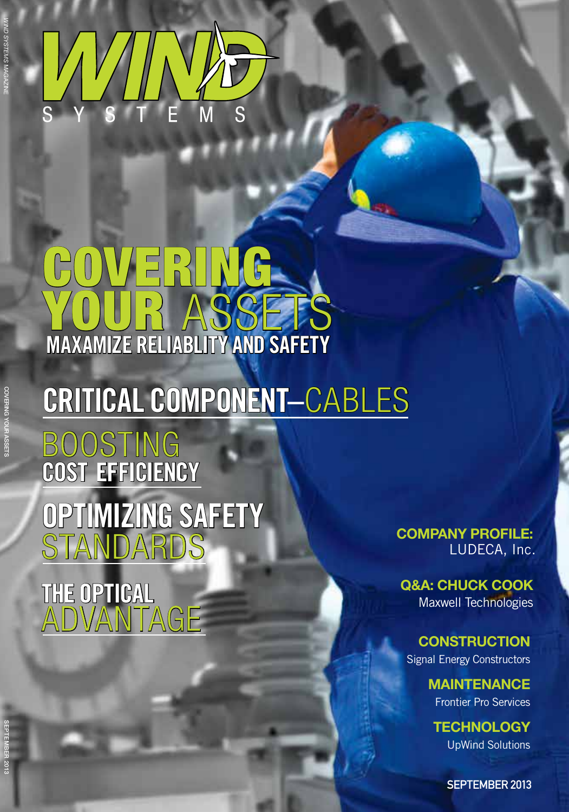SEPTEMBER 2013



## COVERING. YOUR ASSETS **Maxamize reliablity and safety**

## **[Critical COMPONENT–](#page--1-0)**Cables

**BOOSTING cost efficiency [Optimizing SAFETY](#page--1-0) STANDARDS** 

**The Optical**  [Advantage](#page--1-0) **[Company Profile:](#page--1-0)**  LUDECA, Inc.

**[Q&A: CHUCK COOK](#page--1-0)** Maxwell Technologies

**[Construction](#page--1-0)** Signal Energy Constructors

> **[Maintenance](#page--1-0)** Frontier Pro Services

**[Technology](#page--1-0)** UpWind Solutions

SEPTEMBER 2013